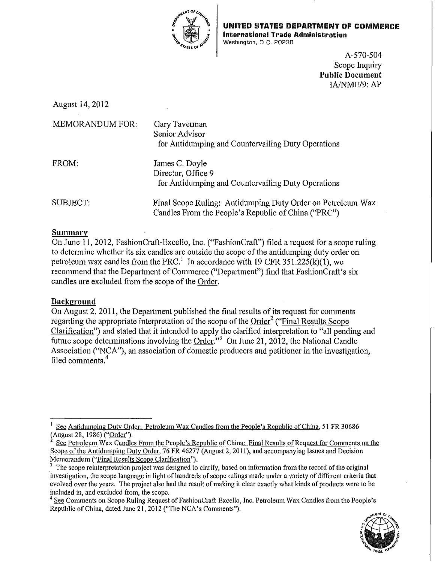

UNITED STATES DEPARTMENT OF COMMERCE **International Trade Administration**  Washington, D.C. 20230

> A-570-504 Scope Inquiry **Public Document**  IAJNME/9: AP

August 14,2012

| <b>MEMORANDUM FOR:</b> | Gary Taverman<br>Senior Advisor<br>for Antidumping and Countervailing Duty Operations                              |
|------------------------|--------------------------------------------------------------------------------------------------------------------|
| FROM:                  | James C. Doyle<br>Director, Office 9<br>for Antidumping and Countervailing Duty Operations                         |
| SUBJECT:               | Final Scope Ruling: Antidumping Duty Order on Petroleum Wax<br>Candles From the People's Republic of China ("PRC") |

# **Summary**

On June 11, 2012, FashionCraft-Excello, Inc. ("FashionCraft") filed a request for a scope ruling to determine whether its six candles are outside the scope of the antidumping duty order on petroleum wax candles from the PRC.<sup>1</sup> In accordance with 19 CFR 351.225(k)(1), we recommend that the Department of Commerce ("Department") find that FashionCraft's six candles are excluded from the scope of the Order.

# **Background**

On August 2, 2011, the Department published the final results of its request for conunents regarding the appropriate interpretation of the scope of the Order<sup>2</sup> ("Final Results Scope") Clarification") and stated that it intended to apply the clarified interpretation to "all pending and future scope determinations involving the Order."<sup>3</sup> On June 21, 2012, the National Candle Association ("NCA"), an association of domestic producers and petitioner in the investigation, filed comments. 4

<sup>&</sup>lt;sup>4</sup> See Comments on Scope Ruling Request of FashionCraft-Excello, Inc. Petroleum Wax Candles from the People's Republic of China, dated June 21, 2012 ("The NCA's Comments").



<sup>&</sup>lt;sup>1</sup> See Antidumping Duty Order: Petroleum Wax Candles from the People's Republic of China, 51 FR 30686 (August 28, 1986) ("Order").

See Petroleum Wax Candles From the People's Republic of China: Final Results of Request for Comments on the Scope of the Antidumping Duty Order, 76 FR 46277 (August 2, 2011), and accompanying Issues and Decision Memorandum ("Final Results Scope Clarification").

 $3\text{ }$  The scope reinterpretation project was designed to clarify, based on information from the record of the original investigation, the scope language in light of hundreds of scope mlings made under a variety of different criteria that evolved over the years. The project also had the result of making it clear exactly what kinds of products were to be included in, and excluded from, the scope.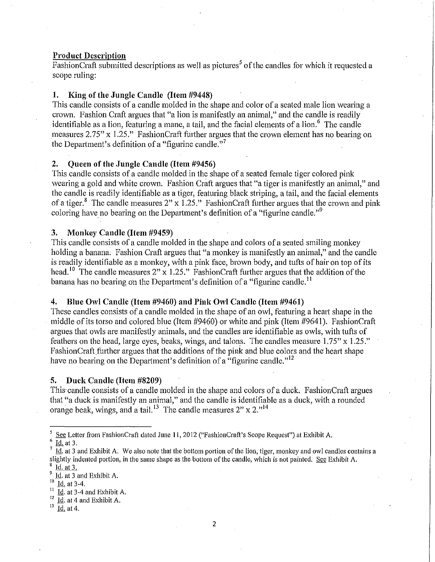## **Product Description**

 $F$ ashion Craft submitted descriptions as well as pictures<sup>5</sup> of the candles for which it requested a scope ruling:

## **1. King of the Jungle Candle (Item #9448)**

This candle consists of a candle molded in the shape and color of a seated male lion wearing a crown. Fashion Craft argues that "a lion is manifestly an animal," and the candle is readily identifiable as a lion, featuring a mane, a tail, and the facial elements of a lion.<sup>6</sup> The candle measures 2.75" x 1.25." FashionCraft further argues that the crown element has no bearing on the Department's definition of a "figurine candle."<sup>7</sup>

## **2. Queen of the Jungle Candle (Item #9456)**

This candle consists of a candle molded in the shape of a seated female tiger colored pink wearing a gold and white crown. Fashion Craft argues that "a tiger is manifestly an animal," and the candle is readily identifiable as a tiger, featuring black striping, a tail, and the facial elements of a tiger.<sup>8</sup> The candle measures 2" x 1.25." FashionCraft further argues that the crown and pink coloring have no bearing on the Department's definition of a "figurine candle."<sup>9</sup>

## **3. Monkey Candle (Item #9459)**

This candle consists of a candle molded in the shape and colors of a seated smiling monkey holding a banana. Fashion Craft argues that "a monkey is manifestly an animal," and the candle is readily identifiable as a monkey, with a pink face, brown body, and tufts of hair on top of its head.<sup>10</sup> The candle measures 2" x 1.25." FashionCraft further argues that the addition of the banana has no bearing on the Department's definition of a "figurine candle.<sup>11</sup>

## **4. Blue Owl Candle (Item #9460) and Pink Owl Candle (Item #9461)**

These candles consists of a candle molded in the shape of an owl, featuring a heart shape in the middle of its torso and colored blue (Item #9460) or white and pink (Item #9641 ). FashionCraft argues that owls are manifestly animals, and the candles are identifiable as owls, with tufts of feathers on the head, large eyes, beaks, wings, and talons. The candles measure 1.75" x 1.25." Fashion Craft further argues that the additions of the pink and blue colors and the heart shape have no bearing on the Department's definition of a "figurine candle."<sup>12</sup>

#### **5. Duck Candle (Item #8209)**

This candle consists of a candle molded in the shape and colors of a duck. FashionCraft argues that "a duck is manifestly an animal," and the candle is identifiable as a duck, with a rounded orange beak, wings, and a tail.<sup>13</sup> The candle measures  $2'' \times 2.^{14}$ 

Id. at 3-4 and Exhibit A.

See Letter from FashionCraft dated June 11, 2012 ("FashionCraft's Scope Request") at Exhibit A.<br>
Id. at 3.<br>
Id. at 3 and Exhibit A. We also note that the bottom portion of the lion, tiger, monkey and owl candles contains

slightly indented portion, in the same shape as the bottom of the candle, which is not painted. See Exhibit A.

 $\frac{Id. at 3.}{Id. at 3 and Exhibit A.}$ 

Id. at 3-4.

 $\frac{12}{13}$  <u>Id.</u> at 4 and Exhibit A.

Id. at 4.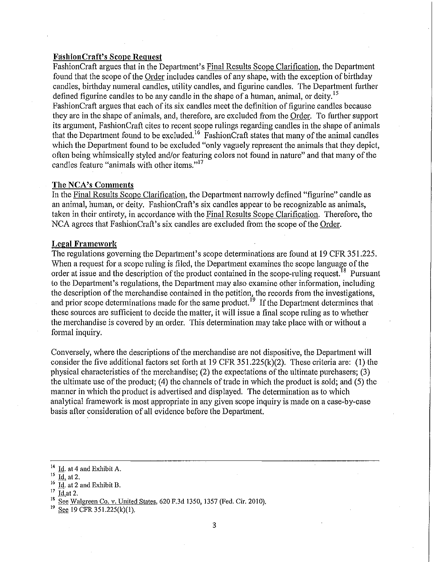### Fashion Craft's Scope Request

Fashion Craft argues that in the Department's Final Results Scope Clarification, the Department found that the scope of the Order includes candles of any shape, with the exception of birthday candles, birthday numeral candles, utility candles, and figurine candles. The Department further defined figurine candles to be any candle in the shape of a human, animal, or deity.<sup>15</sup> Fashion Craft argues that each of its six candles meet the definition of figurine candles because they are in the shape of animals, and, therefore, are excluded from the Order. To further support its argument, Fashion Craft cites to recent scope rulings regarding candles in the shape of animals that the Department found to be excluded.<sup>16</sup> FashionCraft states that many of the animal candles which the Department found to be excluded "only vaguely represent the animals that they depict, often being whimsically styled and/or featuring colors not found in nature" and that many of the candles feature "animals with other items."<sup>17</sup>

# The NCA's Comments

In the Final Results Scope Clarification, the Department narrowly defined "figurine" candle as an animal, human, or deity. FashionCraft's six candles appear to be recognizable as animals, taken in their entirety, in accordance with the Final Results Scope Clarification. Therefore, the NCA agrees that FashionCraft's six candles are excluded from the scope of the Order.

#### Legal Framework

The regulations governing the Department's scope determinations are found at 19 CFR 351.225. When a request for a scope mling is filed, the Department examines the scope language of the order at issue and the description of the product contained in the scope-ruling request.<sup>18</sup> Pursuant to the Department's regulations, the Department may also examine other information, including the description of the merchandise contained in the petition, the records from the investigations, and prior scope determinations made for the same product.<sup>19</sup> If the Department determines that these sources are sufficient to decide the matter, it will issue a final scope ruling as to whether the merchandise is covered by an order. This determination may take place with or without a formal inquiry.

Conversely, where the descriptions of the merchandise are not dispositive, the Department will consider the five additional factors set forth at 19 CFR 351.225(k)(2). These criteria are: (1) the physical characteristics of the merchandise; (2) the expectations of the ultimate purchasers; (3) the ultimate use of the product; (4) the channels of trade in which the product is sold; and (5) the manner in which the product is advertised and displayed. The determination as to which analytical framework is most appropriate in any given scope inquiry is made on a case-by-case basis after consideration of all evidence before the Depmtment.

See 19 CFR 351.225(k)(1).

Id. at 4 and Exhibit A.

 $\frac{15}{16}$   $\frac{Id}{14}$  at 2.

 $\frac{16}{17}$  Id. at 2 and Exhibit B.

**Id.at 2.** 

See Walgreen Co. v. United States, 620 F.3d 1350, 1357 (Fed. Cir. 2010).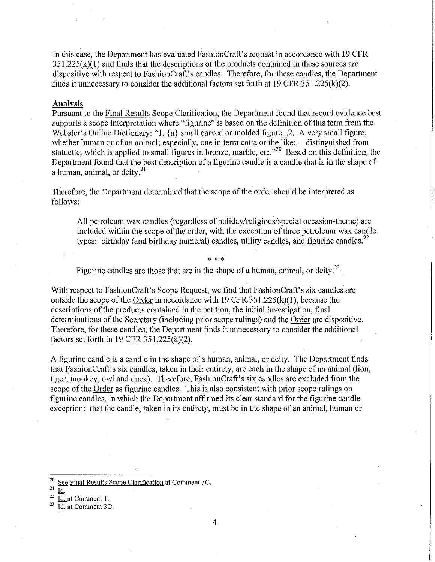In this case, the Department has evaluated FashionCraft's request in accordance with 19 CFR 351.225(k)(l) and finds that the descriptions of the products contained in these sources are dispositive with respect to Fashion Craft's candles. Therefore, for these candles, the Department finds it unnecessary to consider the additional factors set forth at 19 CFR  $351.225(k)(2)$ .

#### **Analysis**

Pursuant to the Final Results Scope Clarification, the Department found that record evidence best supports a scope interpretation where "figurine" is based on the definition of this term from the Webster's Online Dictionary: "1.  $\{a\}$  small carved or molded figure... 2. A very small figure, whether human or of an animal; especially, one in terra cotta or the like; -- distinguished from statuette, which is applied to small figures in bronze, marble, etc."<sup>20</sup> Based on this definition, the Department found that the best description of a figurine candle is a candle that is in the shape of a human, animal, or deity. $2<sup>1</sup>$ 

Therefore, the Department determined that the scope of the order should be interpreted as follows:

All petroleum wax candles (regardless of holiday/religious/special occasion-theme) are included within the scope of the order, with the exception of three petroleum wax candle types: birthday (and birthday numeral) candles, utility candles, and figurine candles.<sup>22</sup>

\* \* \*

Figurine candles are those that are in the shape of a human, animal, or deity.<sup>23</sup>

With respect to FashionCraft's Scope Request, we find that FashionCraft's six candles are outside the scope of the Order in accordance with  $19 \text{ CFR}.351.225(k)(1)$ , because the descriptions of the products contained in the petition, the initial investigation, final determinations of the Secretary (including prior scope rulings) and the Order are dispositive. Therefore, for these candles, the Department finds it unnecessary to consider the additional factors set forth in 19 CFR 351.225(k)(2).

A figurine candle is a candle in the shape of a human, animal, or deity. The Department finds that FashionCraft's six candles, taken in their entirety, are each in the shape of an animal (lion, tiger, monkey, owl and duck). Therefore, Fashion Craft's six candles are excluded from the scope of the Order as figurine candles. This is also consistent with prior scope rulings on figurine candles, in which the Department affirmed its clear standard for the figurine candle exception: that the candle, taken in its entirety, must be in the shape of an animal, human or

 $rac{21}{22}$   $rac{Id}{14}$ .

 $\frac{20}{21}$  See Final Results Scope Clarification at Comment 3C.

 $\frac{22}{23}$  <u>Id.</u> at Comment 1.<br><sup>23</sup> Id. at Comment 3C.